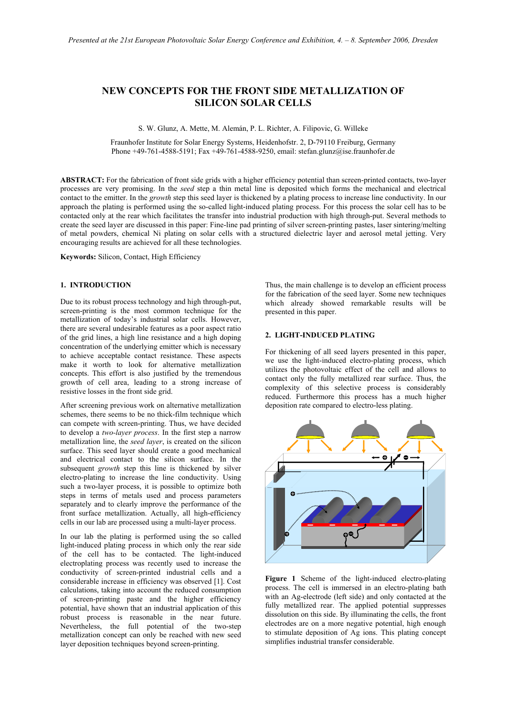# **NEW CONCEPTS FOR THE FRONT SIDE METALLIZATION OF SILICON SOLAR CELLS**

S. W. Glunz, A. Mette, M. Alemán, P. L. Richter, A. Filipovic, G. Willeke

Fraunhofer Institute for Solar Energy Systems, Heidenhofstr. 2, D-79110 Freiburg, Germany Phone +49-761-4588-5191; Fax +49-761-4588-9250, email: stefan.glunz@ise.fraunhofer.de

**ABSTRACT:** For the fabrication of front side grids with a higher efficiency potential than screen-printed contacts, two-layer processes are very promising. In the *seed* step a thin metal line is deposited which forms the mechanical and electrical contact to the emitter. In the *growth* step this seed layer is thickened by a plating process to increase line conductivity. In our approach the plating is performed using the so-called light-induced plating process. For this process the solar cell has to be contacted only at the rear which facilitates the transfer into industrial production with high through-put. Several methods to create the seed layer are discussed in this paper: Fine-line pad printing of silver screen-printing pastes, laser sintering/melting of metal powders, chemical Ni plating on solar cells with a structured dielectric layer and aerosol metal jetting. Very encouraging results are achieved for all these technologies.

**Keywords:** Silicon, Contact, High Efficiency

## **1. INTRODUCTION**

Due to its robust process technology and high through-put, screen-printing is the most common technique for the metallization of today's industrial solar cells. However, there are several undesirable features as a poor aspect ratio of the grid lines, a high line resistance and a high doping concentration of the underlying emitter which is necessary to achieve acceptable contact resistance. These aspects make it worth to look for alternative metallization concepts. This effort is also justified by the tremendous growth of cell area, leading to a strong increase of resistive losses in the front side grid.

After screening previous work on alternative metallization schemes, there seems to be no thick-film technique which can compete with screen-printing. Thus, we have decided to develop a *two-layer process*. In the first step a narrow metallization line, the *seed layer*, is created on the silicon surface. This seed layer should create a good mechanical and electrical contact to the silicon surface. In the subsequent *growth* step this line is thickened by silver electro-plating to increase the line conductivity. Using such a two-layer process, it is possible to optimize both steps in terms of metals used and process parameters separately and to clearly improve the performance of the front surface metallization. Actually, all high-efficiency cells in our lab are processed using a multi-layer process.

In our lab the plating is performed using the so called light-induced plating process in which only the rear side of the cell has to be contacted. The light-induced electroplating process was recently used to increase the conductivity of screen-printed industrial cells and a considerable increase in efficiency was observed [1]. Cost calculations, taking into account the reduced consumption of screen-printing paste and the higher efficiency potential, have shown that an industrial application of this robust process is reasonable in the near future. Nevertheless, the full potential of the two-step metallization concept can only be reached with new seed layer deposition techniques beyond screen-printing.

Thus, the main challenge is to develop an efficient process for the fabrication of the seed layer. Some new techniques which already showed remarkable results will be presented in this paper.

### **2. LIGHT-INDUCED PLATING**

For thickening of all seed layers presented in this paper, we use the light-induced electro-plating process, which utilizes the photovoltaic effect of the cell and allows to contact only the fully metallized rear surface. Thus, the complexity of this selective process is considerably reduced. Furthermore this process has a much higher deposition rate compared to electro-less plating.



**Figure 1** Scheme of the light-induced electro-plating process. The cell is immersed in an electro-plating bath with an Ag-electrode (left side) and only contacted at the fully metallized rear. The applied potential suppresses dissolution on this side. By illuminating the cells, the front electrodes are on a more negative potential, high enough to stimulate deposition of Ag ions. This plating concept simplifies industrial transfer considerable.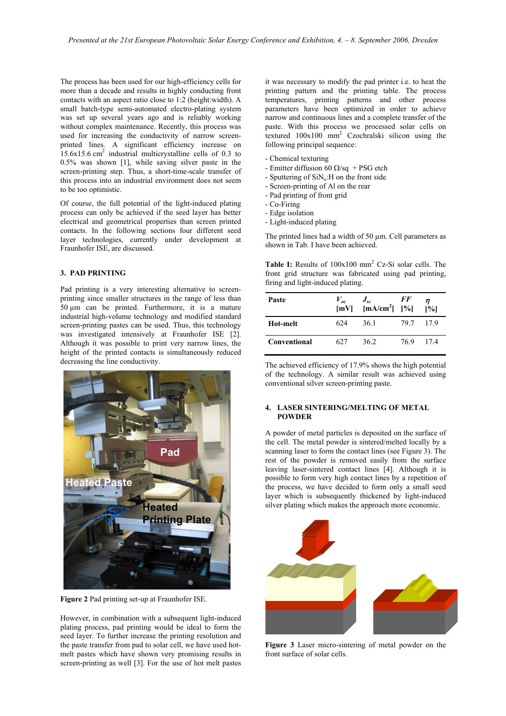The process has been used for our high-efficiency cells for more than a decade and results in highly conducting front contacts with an aspect ratio close to 1:2 (height:width). A small batch-type semi-automated electro-plating system was set up several years ago and is reliably working without complex maintenance. Recently, this process was used for increasing the conductivity of narrow screenprinted lines. A significant efficiency increase on  $15.6x15.6$  cm<sup>2</sup> industrial multicrystalline cells of 0.3 to 0.5% was shown [1], while saving silver paste in the screen-printing step. Thus, a short-time-scale transfer of this process into an industrial environment does not seem to be too optimistic.

Of course, the full potential of the light-induced plating process can only be achieved if the seed layer has better electrical and geometrical properties than screen printed contacts. In the following sections four different seed layer technologies, currently under development at Fraunhofer ISE, are discussed.

#### **3. PAD PRINTING**

Pad printing is a very interesting alternative to screenprinting since smaller structures in the range of less than  $50 \mu m$  can be printed. Furthermore, it is a mature industrial high-volume technology and modified standard screen-printing pastes can be used. Thus, this technology was investigated intensively at Fraunhofer ISE [2]. Although it was possible to print very narrow lines, the height of the printed contacts is simultaneously reduced decreasing the line conductivity.



**Figure 2** Pad printing set-up at Fraunhofer ISE.

However, in combination with a subsequent light-induced plating process, pad printing would be ideal to form the seed layer. To further increase the printing resolution and the paste transfer from pad to solar cell, we have used hotmelt pastes which have shown very promising results in screen-printing as well [3]. For the use of hot melt pastes it was necessary to modify the pad printer i.e. to heat the printing pattern and the printing table. The process temperatures, printing patterns and other process parameters have been optimized in order to achieve narrow and continuous lines and a complete transfer of the paste. With this process we processed solar cells on textured 100x100 mm2 Czochralski silicon using the following principal sequence:

- Chemical texturing
- Emitter diffusion 60  $\Omega$ /sq + PSG etch
- Sputtering of  $\text{SiN}_x$ : H on the front side
- Screen-printing of Al on the rear
- Pad printing of front grid
- Co-Firing
- Edge isolation
- Light-induced plating

The printed lines had a width of 50  $\mu$ m. Cell parameters as shown in Tab. I have been achieved.

**Table I:** Results of  $100x100$  mm<sup>2</sup> Cz-Si solar cells. The front grid structure was fabricated using pad printing, firing and light-induced plating.

| Paste        |     | $V_{oc}$ $J_{sc}$ FF<br>[mV] [mA/cm <sup>2</sup> ] [%] |         | [%] |
|--------------|-----|--------------------------------------------------------|---------|-----|
| Hot-melt     | 624 | 36.1                                                   | 79.7    | 179 |
| Conventional | 627 | 362                                                    | 769 174 |     |

The achieved efficiency of 17.9% shows the high potential of the technology. A similar result was achieved using conventional silver screen-printing paste.

#### **4. LASER SINTERING/MELTING OF METAL POWDER**

A powder of metal particles is deposited on the surface of the cell. The metal powder is sintered/melted locally by a scanning laser to form the contact lines (see Figure 3). The rest of the powder is removed easily from the surface leaving laser-sintered contact lines [4]. Although it is possible to form very high contact lines by a repetition of the process, we have decided to form only a small seed layer which is subsequently thickened by light-induced silver plating which makes the approach more economic.



**Figure 3** Laser micro-sintering of metal powder on the front surface of solar cells.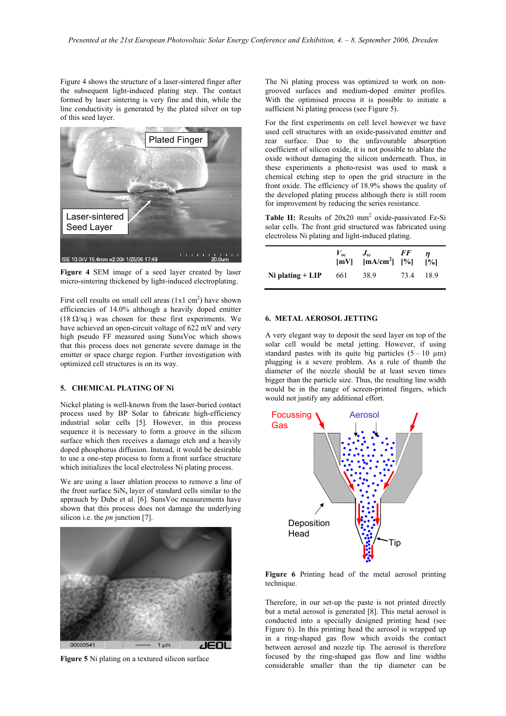Figure 4 shows the structure of a laser-sintered finger after the subsequent light-induced plating step. The contact formed by laser sintering is very fine and thin, while the line conductivity is generated by the plated silver on top of this seed layer.



**Figure 4** SEM image of a seed layer created by laser micro-sintering thickened by light-induced electroplating.

First cell results on small cell areas  $(1x1 \text{ cm}^2)$  have shown efficiencies of 14.0% although a heavily doped emitter (18  $\Omega$ /sq.) was chosen for these first experiments. We have achieved an open-circuit voltage of 622 mV and very high pseudo FF measured using SunsVoc which shows that this process does not generate severe damage in the emitter or space charge region. Further investigation with optimized cell structures is on its way.

### **5. CHEMICAL PLATING OF Ni**

Nickel plating is well-known from the laser-buried contact process used by BP Solar to fabricate high-efficiency industrial solar cells [5]. However, in this process sequence it is necessary to form a groove in the silicon surface which then receives a damage etch and a heavily doped phosphorus diffusion. Instead, it would be desirable to use a one-step process to form a front surface structure which initializes the local electroless Ni plating process.

We are using a laser ablation process to remove a line of the front surface  $\sin N_x$  layer of standard cells similar to the apprauch by Dube et al. [6]. SunsVoc measurements have shown that this process does not damage the underlying silicon i.e. the *pn* junction [7].



**Figure 5** Ni plating on a textured silicon surface

The Ni plating process was optimized to work on nongrooved surfaces and medium-doped emitter profiles. With the optimised process it is possible to initiate a sufficient Ni plating process (see Figure 5).

For the first experiments on cell level however we have used cell structures with an oxide-passivated emitter and rear surface. Due to the unfavourable absorption coefficient of silicon oxide, it is not possible to ablate the oxide without damaging the silicon underneath. Thus, in these experiments a photo-resist was used to mask a chemical etching step to open the grid structure in the front oxide. The efficiency of 18.9% shows the quality of the developed plating process although there is still room for improvement by reducing the series resistance.

Table II: Results of 20x20 mm<sup>2</sup> oxide-passivated Fz-Si solar cells. The front grid structured was fabricated using electroless Ni plating and light-induced plating.

|                    | $V_{oc}$ | $J_{sc}$ FF<br>$[mV]$ $[mA/cm2]$ $[%]$ $[%]$ |           |  |
|--------------------|----------|----------------------------------------------|-----------|--|
| Ni plating $+$ LIP | - 661    | 38.9                                         | 73.4 18.9 |  |

#### **6. METAL AEROSOL JETTING**

A very elegant way to deposit the seed layer on top of the solar cell would be metal jetting. However, if using standard pastes with its quite big particles  $(5 - 10 \mu m)$ plugging is a severe problem. As a rule of thumb the diameter of the nozzle should be at least seven times bigger than the particle size. Thus, the resulting line width would be in the range of screen-printed fingers, which would not justify any additional effort.



**Figure 6** Printing head of the metal aerosol printing technique.

Therefore, in our set-up the paste is not printed directly but a metal aerosol is generated [8]. This metal aerosol is conducted into a specially designed printing head (see Figure 6). In this printing head the aerosol is wrapped up in a ring-shaped gas flow which avoids the contact between aerosol and nozzle tip. The aerosol is therefore focused by the ring-shaped gas flow and line widths considerable smaller than the tip diameter can be